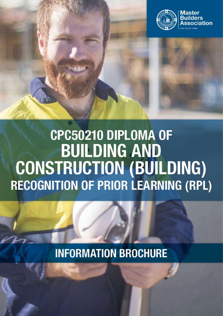

# CPC50210 DIPLOMA OF **BUILDING AND CONSTRUCTION (BUILDING) RECOGNITION OF PRIOR LEARNING (RPL)**

**INFORMATION BROCHURE**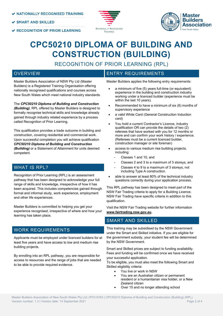- **X NATIONALLY RECOGNISED TRAINING**
- **SMART AND SKILLED**

✔ RECOGNITION OF PRIOR LEARNING





# **CPC50210 DIPLOMA OF BUILDING AND CONSTRUCTION (BUILDING)**

RECOGNITION OF PRIOR LEARNING (RPL)

#### **OVERVIEW**

Master Builders Association of NSW Pty Ltd (Master Builders) is a Registered Training Organisation offering nationally recognised qualifications and courses across New South Wales which meet national industry standards.

The *CPC50210 Diploma of Building and Construction (Building),* RPL offered by Master Builders is designed to formally recognise technical skills and knowledge already gained through industry related experience by a process called Recognition of Prior Learning.

This qualification provides a trade outcome in building and construction, covering residential and commercial work. Upon successful completion you will achieve qualification *CPC50210 Diploma of Building and Construction (Building)* or a Statement of Attainment for units deemed competent.

#### WHAT IS RPL?

Recognition of Prior Learning (RPL) is an assessment pathway that has been designed to acknowledge your full range of skills and knowledge, irrespective of how it has been acquired. This includes competencies gained through formal and informal study, work experience, employment and other life experiences.

Master Builders is committed to helping you get your experience recognised, irrespective of where and how your learning has taken place.

### WORK REQUIREMENTS

Applicants must be employed under licenced builders for at least five years and have access to low and medium rise building projects.

By enrolling into an RPL pathway, you are responsible for access to resources and the range of jobs that are needed to be able to provide required evidence.

#### ENTRY REQUIREMENTS

Master Builders applies the following entry requirements:

- a minimum of five (5) years full-time (or equivalent) experience in the building and construction industry working under a licenced builder (experience must be within the last 10 years).
- Recommended to have a minimum of six (6) months of supervisory experience
- a valid White Card (General Construction Induction card)
- You hold a current Contractor's Licence, industry qualification OR can provide the details of two (2) referees that have worked with you for 12 months or more and can confirm your work history / experience. (Referees must be a current licenced builder, construction manager or site foreman)
- access to various medium rise building projects, including:
	- Classes 1 and 10, and
	- Classes 2 and 3 to a maximum of 3 storeys, and
	- Classes 4 to 9 to a maximum of 3 storeys, not including Type A construction.
- able to answer at least 80% of the technical industry questions correctly during your application process.

This RPL pathway has been designed to meet part of the NSW Fair Trading criteria to apply for a Building Licence. NSW Fair Trading have specific criteria in addition to this qualification.

Visit the NSW Fair Trading website for further information **www.fairtrading.nsw.gov.au**.

#### SMART AND SKILLED

This training may be subsidised by the NSW Government under the Smart and Skilled initiative. If you are eligible for the government subsidy, your student fee will be determined by the NSW Government.

Smart and Skilled prices are subject to funding availability. Fees and funding will be confirmed once we have received your successful application.

To be eligible, you must also meet the following Smart and Skilled eligibility criteria:

- You live or work in NSW
- You are an Australian citizen or permanent resident or a humanitarian visa holder, or a New Zealand citizen
- Over 15 and no longer attending school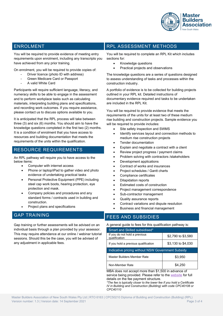

#### ENROLMENT

## RPL ASSESSMENT METHODS

You will be required to provide evidence of meeting entry requirements upon enrolment, including any transcripts you have achieved from any prior training.

On enrolment, you will be required to provide copies of:

- Driver licence (photo ID with address)
- Green Medicare Card or Passport
- A valid White Card

Participants will require sufficient language, literacy, and numeracy skills to be able to engage in the assessment and to perform workplace tasks such as calculating materials, interpreting building plans and specifications, and recording work outcomes. If you require assistance, please contact us to discuss options available to you.

It is anticipated that the RPL process will take between three (3) and six (6) months. You should aim to have the knowledge questions completed in the first two (2) months. It is a condition of enrolment that you have access to resources and building documentation that meets the requirements of the units within the qualification.

#### RESOURCE REQUIREMENTS

An RPL pathway will require you to have access to the below items:

- Computer with internet access
- Phone or laptop/iPad to gather video and photo evidence of undertaking practical tasks
- Personal Protective Equipment (PPE) including steel cap work boots, hearing protection, eye protection and mask.
- Company policies and procedures and any standard forms / contracts used in building and construction.
- Project plans and specifications

#### GAP TRAINING

Gap training or further assessments will be advised on an individual basis through a plan provided by your assessor. This may require attendance at our online / webinar tutorial sessions. Should this be the case, you will be advised of any adjustment in applicable fees.

You will be required to complete an RPL Kit which includes sections for:

- Knowledge questions
- Practical projects and observations

The knowledge questions are a series of questions designed to assess understanding of tasks and processes within the construction industry.

A portfolio of evidence is to be collected for building projects outlined in your RPL kit. Detailed instructions of documentary evidence required and tasks to be undertaken are included in the RPL Kit.

You will be required to provide evidence that meets the requirements of the units for at least two of these medium rise building and construction projects. Sample evidence you will be required to provide includes:

- Site safety inspection and SWMS
- Identify services layout and connection methods to medium rise construction projects
- Tender documentation
- Explain and negotiate a contract with a client
- Review project progress / payment claims
- Problem solving with contractors /stakeholders
- Development applications
- Contract of works and insurances
- Project schedules / Gantt charts
- Compliance certificates
- Dilapidation reports
- Estimated costs of construction
- Project management correspondence
- Sub-contractor management
- Quality assurance reports
- Contract variations and dispute resolution
- Business and financial management

#### FEES AND SUBSIDIES

A general guide to fees for this qualification pathway is:

| Smart and Skilled subsidised*                     |                    |  |
|---------------------------------------------------|--------------------|--|
| If you do not hold a previous<br>qualification    | \$2,790 to \$3,580 |  |
| If you hold a previous qualification              | \$3,130 to \$4,030 |  |
| Indicative pricing without NSW Government Subsidy |                    |  |
| Master Builders Member Rate                       | \$3,950            |  |
| Non-Member Rate                                   | \$4.250            |  |

MBA does not accept more than \$1,500 in advance of service being provided. Please refer to the [website](https://www.mbansw.asn.au/training/my-office-or-worksite/sun-01112020-1111/dipbcrpl-cpc50210-diploma-building-and) for full details on the fee payment structure.

*\*The fee is typically closer to the lower fee if you hold a Certificate IV in Building and Construction (Building) with code CPC40108 or CPC40110*